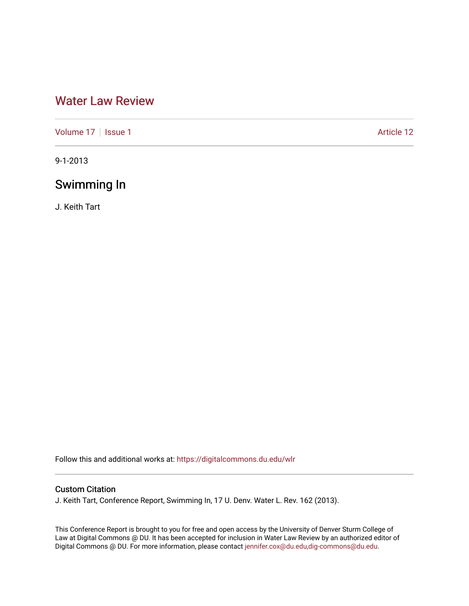# [Water Law Review](https://digitalcommons.du.edu/wlr)

[Volume 17](https://digitalcommons.du.edu/wlr/vol17) | [Issue 1](https://digitalcommons.du.edu/wlr/vol17/iss1) Article 12

9-1-2013

## Swimming In

J. Keith Tart

Follow this and additional works at: [https://digitalcommons.du.edu/wlr](https://digitalcommons.du.edu/wlr?utm_source=digitalcommons.du.edu%2Fwlr%2Fvol17%2Fiss1%2F12&utm_medium=PDF&utm_campaign=PDFCoverPages) 

## Custom Citation

J. Keith Tart, Conference Report, Swimming In, 17 U. Denv. Water L. Rev. 162 (2013).

This Conference Report is brought to you for free and open access by the University of Denver Sturm College of Law at Digital Commons @ DU. It has been accepted for inclusion in Water Law Review by an authorized editor of Digital Commons @ DU. For more information, please contact [jennifer.cox@du.edu,dig-commons@du.edu](mailto:jennifer.cox@du.edu,dig-commons@du.edu).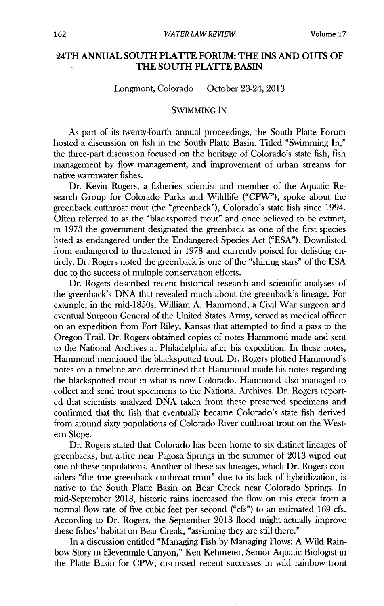## **24TH ANNUAL SOUTH PLATTE FORUM: THE INS AND OUTS OF THE SOUTH PLATTE BASIN**

### Longmont, Colorado October 23-24, **2013**

### **SWIMMING IN**

As part of its twenty-fourth annual proceedings, the South Platte Forum hosted a discussion on fish in the South Platte Basin. Titled "Swimming In," the three-part discussion focused on the heritage of Colorado's state fish, fish management **by** flow management, and improvement of urban streams for native warmwater fishes.

Dr. Kevin Rogers, a fisheries scientist and member of the Aquatic Research Group for Colorado Parks and Wildlife ("CPW"), spoke about the greenback cutthroat trout (the "greenback"), Colorado's state fish since 1994. Often referred to as the "blackspotted trout" and once believed to be extinct, in **1973** the government designated the greenback as one of the first species listed as endangered under the Endangered Species Act **("ESA").** Downlisted from endangered to threatened in **1978** and currently poised for delisting entirely, Dr. Rogers noted the greenback is one of the "shining stars" of the **ESA** due to the success of multiple conservation efforts.

**Dr.** Rogers described recent historical research and scientific analyses of the greenback's **DNA** that revealed much about the greenback's lineage. For example, in the mid-1850s, William **A.** Hammond, a **Civil** War surgeon and eventual Surgeon General of the United States Army, served as medical officer on an expedition from Fort Riley, Kansas that attempted to find a pass to the Oregon Trail. Dr. Rogers obtained copies of notes Hammond made and sent to the National Archives at Philadelphia after his expedition. In these notes, Hammond mentioned the blackspotted trout. Dr. Rogers plotted Hammond's notes on a timeline and determined that Hammond made his notes regarding the blackspotted trout in what is now Colorado. Hammond also managed to collect and send trout specimens to the National Archives. Dr. Rogers reported that scientists analyzed **DNA** taken from these preserved specimens and confirmed that the fish that eventually became Colorado's state fish derived from around sixty populations of Colorado River cutthroat trout on the Western Slope.

Dr. Rogers stated that Colorado has been home to six distinct lineages of greenbacks, but a-fire near Pagosa Springs in the summer of **2013** wiped out one of these populations. Another of these six lineages, which Dr. Rogers considers "the true greenback cutthroat trout" due to its lack of hybridization, **is** native to the South Platte Basin on Bear Creek near Colorado Springs. In mid-September **2013,** historic rains increased the flow on this creek from a normal flow rate of five cubic feet per second ("cfs") to an estimated **169** cfs. According to Dr. Rogers, the September **2013** flood might actually improve these fishes' habitat on Bear Creak, "assuming they are still there."

In a discussion entitled "Managing Fish **by** Managing Flows: **A** Wild Rainbow Story in Elevenmile Canyon," Ken Kehmeier, Senior Aquatic Biologist in the Platte Basin for CPW, discussed recent successes in wild rainbow trout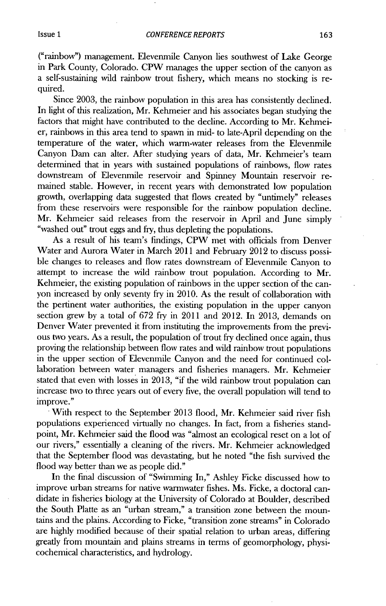("rainbow") management. Elevenmile Canyon lies southwest of Lake George in Park County, Colorado. CPW manages the upper section of the canyon as a self-sustaining wild rainbow trout fishery, which means no stocking is required.

Since **2003,** the rainbow population in this area has consistently declined. In light of this realization, Mr. Kehmeier and his associates began studying the factors that might have contributed to the decline. According to Mr. Kehmeier, rainbows in this area tend to spawn in **mid-** to late-April depending on the temperature of the water, which warm-water releases from the Elevenmile Canyon Dam can alter. After studying years of data, Mr. Kehmeier's team determined that in years with sustained populations of rainbows, flow rates downstream of Elevenmile reservoir and Spinney Mountain reservoir remained stable. However, in recent years with demonstrated low population growth, overlapping data suggested that flows created **by** "untimely" releases from these reservoirs were responsible for the rainbow population decline. Mr. Kehmeier said releases from the reservoir in April and June simply "washed out" trout eggs and fry, thus depleting the populations.

As a result of his team's findings, CPW met with officials from Denver Water and Aurora Water in March 2011 and February 2012 to discuss possible changes to releases and flow rates downstream of Elevenmile Canyon to attempt to increase the wild rainbow trout population. According to Mr. Kehmeier, the existing population of rainbows in the upper section of the canyon increased **by** only seventy fry in 2010. As the result of collaboration **with** the pertinent water authorities, the existing population in the upper canyon section grew **by** a total of **672** fry in 2011 and 2012. In **2013,** demands on Denver Water prevented it from instituting the improvements from the previous two years. As a result, the population of trout fry declined once again, thus proving the relationship between flow rates and **wild** rainbow trout populations in the upper section of Elevenmile Canyon and the need for continued collaboration between water managers and fisheries managers. Mr. Kehmeier stated that even with losses **in 2013,** "if the **wild** rainbow trout population can increase two to three years out of every five, the overall population will tend to improve."

With respect to the September **2013** flood, Mr. Kehmeier said river fish populations experienced virtually no changes. In fact, from a fisheries standpoint, Mr. Kehmeier said the flood was "almost an ecological reset on a lot of our rivers," essentially a cleaning of the rivers. Mr. Kehmeier acknowledged that the September flood was devastating, but he noted "the fish survived the flood way better than we as people did."

In the final discussion of "Swimming In," Ashley Ficke discussed how to improve urban streams for native warmwater fishes. Ms. Ficke, a doctoral candidate in fisheries biology at the University of Colorado at Boulder, described the South Platte as an "urban stream," a transition zone between the mountains and the plains. According to Ficke, "transition zone streams" in Colorado are **highly** modified because of their spatial relation to urban areas, differing greatly from mountain and plains streams in terms of geomorphology, physicochemical characteristics, and hydrology.